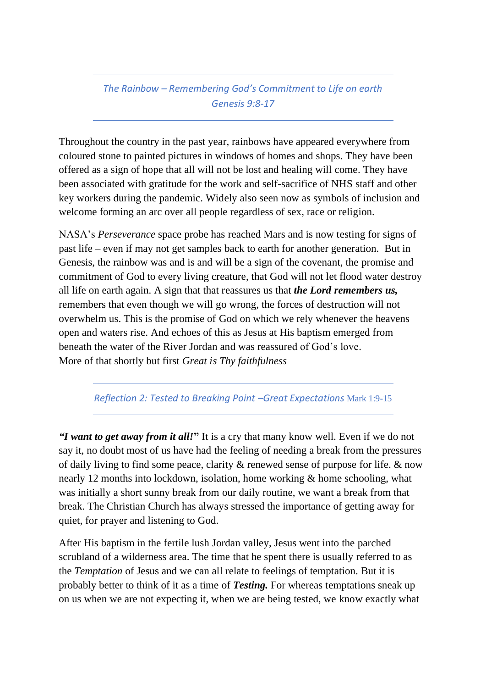## *The Rainbow – Remembering God's Commitment to Life on earth Genesis 9:8-17*

Throughout the country in the past year, rainbows have appeared everywhere from coloured stone to painted pictures in windows of homes and shops. They have been offered as a sign of hope that all will not be lost and healing will come. They have been associated with gratitude for the work and self-sacrifice of NHS staff and other key workers during the pandemic. Widely also seen now as symbols of inclusion and welcome forming an arc over all people regardless of sex, race or religion.

NASA's *Perseverance* space probe has reached Mars and is now testing for signs of past life – even if may not get samples back to earth for another generation. But in Genesis, the rainbow was and is and will be a sign of the covenant, the promise and commitment of God to every living creature, that God will not let flood water destroy all life on earth again. A sign that that reassures us that *the Lord remembers us,* remembers that even though we will go wrong, the forces of destruction will not overwhelm us. This is the promise of God on which we rely whenever the heavens open and waters rise. And echoes of this as Jesus at His baptism emerged from beneath the water of the River Jordan and was reassured of God's love. More of that shortly but first *Great is Thy faithfulness* 

*Reflection 2: Tested to Breaking Point –Great Expectations* Mark 1:9-15

*"I want to get away from it all!***"** It is a cry that many know well. Even if we do not say it, no doubt most of us have had the feeling of needing a break from the pressures of daily living to find some peace, clarity & renewed sense of purpose for life. & now nearly 12 months into lockdown, isolation, home working & home schooling, what was initially a short sunny break from our daily routine, we want a break from that break. The Christian Church has always stressed the importance of getting away for quiet, for prayer and listening to God.

After His baptism in the fertile lush Jordan valley, Jesus went into the parched scrubland of a wilderness area. The time that he spent there is usually referred to as the *Temptation* of Jesus and we can all relate to feelings of temptation. But it is probably better to think of it as a time of *Testing.* For whereas temptations sneak up on us when we are not expecting it, when we are being tested, we know exactly what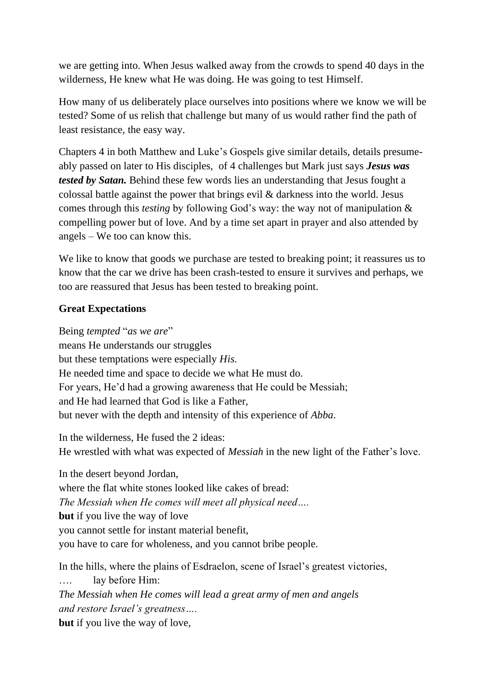we are getting into. When Jesus walked away from the crowds to spend 40 days in the wilderness, He knew what He was doing. He was going to test Himself.

How many of us deliberately place ourselves into positions where we know we will be tested? Some of us relish that challenge but many of us would rather find the path of least resistance, the easy way.

Chapters 4 in both Matthew and Luke's Gospels give similar details, details presumeably passed on later to His disciples, of 4 challenges but Mark just says *Jesus was tested by Satan.* Behind these few words lies an understanding that Jesus fought a colossal battle against the power that brings evil & darkness into the world. Jesus comes through this *testing* by following God's way: the way not of manipulation & compelling power but of love. And by a time set apart in prayer and also attended by angels – We too can know this.

We like to know that goods we purchase are tested to breaking point; it reassures us to know that the car we drive has been crash-tested to ensure it survives and perhaps, we too are reassured that Jesus has been tested to breaking point.

## **Great Expectations**

Being *tempted* "*as we are*"

means He understands our struggles but these temptations were especially *His.*  He needed time and space to decide we what He must do. For years, He'd had a growing awareness that He could be Messiah; and He had learned that God is like a Father, but never with the depth and intensity of this experience of *Abba.*

In the wilderness, He fused the 2 ideas: He wrestled with what was expected of *Messiah* in the new light of the Father's love.

In the desert beyond Jordan, where the flat white stones looked like cakes of bread: *The Messiah when He comes will meet all physical need….*  **but** if you live the way of love you cannot settle for instant material benefit, you have to care for wholeness, and you cannot bribe people*.*

In the hills, where the plains of Esdraelon, scene of Israel's greatest victories, …. lay before Him: *The Messiah when He comes will lead a great army of men and angels and restore Israel's greatness….*  **but** if you live the way of love,